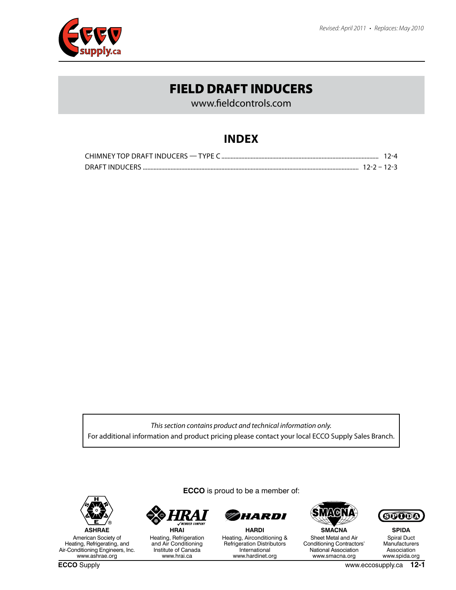www.fieldcontrols.com

## **INDEX**

|  | 12-4 |  |
|--|------|--|
|  |      |  |

*This section contains product and technical information only.* For additional information and product pricing please contact your local ECCO Supply Sales Branch.



American Society of Heating, Refrigerating, and Air-Conditioning Engineers, Inc. www.ashrae.org

**ECCO** is proud to be a member of:



Heating, Refrigeration and Air Conditioning Institute of Canada www.hrai.ca



**HARDI** Heating, Airconditioning & Refrigeration Distributors International www.hardinet.org



**SMACNA** Sheet Metal and Air Conditioning Contractors' National Association www.smacna.org



**SPIDA** Spiral Duct **Manufacturers** Association www.spida.org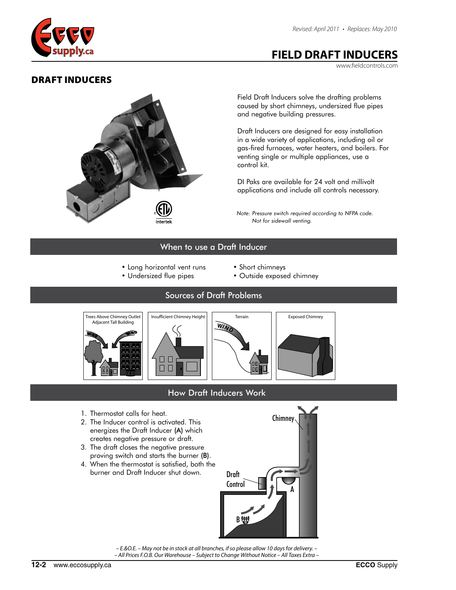<span id="page-1-0"></span>

www.fieldcontrols.com

# DRAFT INDUCERS Draft Inducers



Field Draft Inducers solve the drafting problems caused by short chimneys, undersized flue pipes and negative building pressures.

Draft Inducers are designed for easy installation in a wide variety of applications, including oil or gas-fired furnaces, water heaters, and boilers. For venting single or multiple appliances, use a control kit.

DI Paks are available for 24 volt and millivolt applications and include all controls necessary.

*Note: Pressure switch required according to NFPA code. Not for sidewall venting.*

#### When to use a Draft Inducer

- Long horizontal vent runs
- Undersized flue pipes
- Short chimneys
- Outside exposed chimney

#### Sources of Draft Problems



## How Draft Inducers Work

- 1. Thermostat calls for heat.
- 2. The Inducer control is activated. This energizes the Draft Inducer (A) which creates negative pressure or draft.
- 3. The draft closes the negative pressure proving switch and starts the burner (B).
- 4. When the thermostat is satisfied, both the burner and Draft Inducer shut down.



*– E.&O.E. – May not be in stock at all branches, if so please allow 10 days for delivery. – – All Prices F.O.B. Our Warehouse – Subject to Change Without Notice – All Taxes Extra –*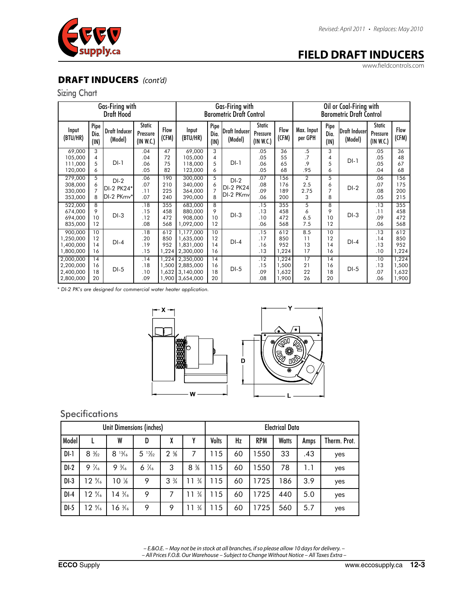

www.fieldcontrols.com

#### DRAFT INDUCERS *(cont'd)* <u>draft Industrial Industrial Communist</u> **RAFT II**

#### Sizing Chart Sizing Chart

| Gas-Firing with<br><b>Draft Hood</b>             |                               |                                    |                                        |                            | Gas-Firing with<br><b>Barometric Draft Control</b>     |                               |                                         |                                        |                                  | Oil or Coal-Firing with<br><b>Barometric Draft Control</b> |                      |                           |                                 |                                  |
|--------------------------------------------------|-------------------------------|------------------------------------|----------------------------------------|----------------------------|--------------------------------------------------------|-------------------------------|-----------------------------------------|----------------------------------------|----------------------------------|------------------------------------------------------------|----------------------|---------------------------|---------------------------------|----------------------------------|
| Input<br>(BTU/HR)                                | Pipe<br>Dia.<br>(IN)          | Draft Inducer<br>(Model)           | <b>Static</b><br>Pressure<br>(IN W.C.) | Flow<br>(CFM)              | Input<br>(BTU/HR)                                      | Pipe<br>Dia.<br>(IN)          | Draft Inducerl<br>(Model)               | <b>Static</b><br>Pressure<br>(IN W.C.) | <b>Flow</b><br>(CFM)             | Max. Input<br>per GPH                                      | Pipe<br>Dia.<br>(IN) | Draft Inducerl<br>(Model) | Static<br>Pressure<br>(IN W.C.) | Flow<br>(CFM)                    |
| 69,000<br>105,000<br>111.000<br>120,000          | 3<br>4<br>5<br>6              | $DI-1$                             | .04<br>.04<br>.06<br>.05               | 47<br>72<br>75<br>82       | 69,000<br>105,000<br>118,000<br>123,000                | 3<br>4<br>5<br>6              | $DI-1$                                  | .05<br>.05<br>.06<br>.05               | 36<br>55<br>65<br>68             | .5<br>.7<br>.9<br>.95                                      | 3<br>4<br>5<br>6     | $DI-1$                    | .05<br>.05<br>.05<br>.04        | 36<br>48<br>67<br>68             |
| 279,000<br>308,000<br>330,000<br>353,000         | 5<br>6<br>$\overline{7}$<br>8 | $DI-2$<br>DI-2 PK24*<br>DI-2 PKmv* | .06<br>.07<br>.11<br>.07               | 190<br>210<br>225<br>240   | 300,000<br>340,000<br>364,000<br>390,000               | 5<br>6<br>$\overline{7}$<br>8 | $DI-2$<br><b>DI-2 PK24</b><br>DI-2 PKmv | .07<br>.08<br>.09<br>.06               | 156<br>176<br>189<br>200         | $\overline{2}$<br>2.5<br>2.75<br>3                         | 5<br>6<br>7<br>8     | $DI-2$                    | .06<br>.07<br>.08<br>.05        | 156<br>175<br>200<br>215         |
| 522,000<br>674,000<br>694,000<br>835,000         | 8<br>9<br>10<br>12            | $DI-3$                             | .18<br>.15<br>.12<br>.08               | 355<br>458<br>472<br>568   | 683,000<br>880,000<br>908.000<br>1,092,000             | 8<br>9<br>10<br>12            | $DI-3$                                  | .15<br>.13<br>.10<br>.06               | 355<br>458<br>472<br>568         | 5<br>6<br>6.5<br>7.5                                       | 8<br>9<br>10<br>12   | $DI-3$                    | .13<br>.11<br>.09<br>.06        | 355<br>458<br>472<br>568         |
| 900,000<br>1,250,000<br>1,400,000<br>1,800,000   | 10<br>12<br>14<br>16          | $DI-4$                             | .18<br>.20<br>.19<br>.15               | 612<br>850<br>952<br>1,224 | 1,177,000<br>1,635,000<br>1,831,000<br>2,300,000       | 10<br>12<br>14<br>16          | $DI-4$                                  | .15<br>.17<br>.16<br>.13               | 612<br>850<br>952<br>1,224       | 8.5<br>11<br>13<br>17                                      | 10<br>12<br>14<br>16 | $DI-4$                    | .13<br>.14<br>.13<br>.10        | 612<br>850<br>952<br>1,224       |
| 2.000.000<br>2,200,000<br>2,400,000<br>2,800,000 | 14<br>16<br>18<br>20          | $DI-5$                             | .14<br>.18<br>.10<br>.09               | 1,224<br>1.500<br>1,632    | 2,350,000<br>2,885,000<br>3,140,000<br>1,900 3,654,000 | 14<br>16<br>18<br>20          | $DI-5$                                  | .12<br>.15<br>.09<br>.08               | 1.224<br>1,500<br>1,632<br>1,900 | 17<br>21<br>22<br>26                                       | 14<br>16<br>18<br>20 | $DI-5$                    | .10<br>.13<br>.07<br>.06        | 1,224<br>1,500<br>1,632<br>1,900 |

*\* DI-2 PK's are designed for commercial water heater application. \* DI-2 PK's are designed for commercial water heater application.* rico<br>1 1,632 1,900 3,1<sub>40</sub>, 1<sub>40</sub>, 1<sub>40</sub>  $30$  water frequency  $\overline{\phantom{a}}$ upii<br>.



#### ns and a sensitivity of the sensitivity of the sensitivity of the sensitivity of  $\mathbf{S}$  $\mathcal{S}$  specifications  $\mathcal{S}$ **Specifications**

|        |                   | Unit Dimensions (inches) |                      |                 |                     | <b>Electrical Data</b> |    |            |              |      |              |
|--------|-------------------|--------------------------|----------------------|-----------------|---------------------|------------------------|----|------------|--------------|------|--------------|
| Model  |                   | W                        | D                    | ν<br>۸          | v                   | Volts                  | Hz | <b>RPM</b> | <b>Watts</b> | Amps | Therm. Prot. |
| $DI-1$ | $8\frac{3}{22}$   | $8\frac{13}{16}$         | $\frac{17}{32}$<br>5 | $2 \frac{5}{6}$ | 7                   | 115                    | 60 | 550        | 33           | .43  | yes          |
| $DI-2$ | $9\frac{7}{6}$    | $\frac{3}{16}$<br>9      | $6\frac{7}{6}$       | 3               | $8\%$               | 115                    | 60 | 550        | 78           | 1.1  | yes          |
| $DI-3$ | $12\%$            | $10\%$                   | 9                    | $3\frac{3}{4}$  | $\frac{3}{4}$<br>11 | 115                    | 60 | 1725       | 186          | 3.9  | yes          |
| $DI-4$ | 12 %              | $14\frac{3}{16}$         | 9                    | 7               | $\frac{3}{4}$       | 115                    | 60 | 1725       | 440          | 5.0  | yes          |
| $DI-5$ | $12 \frac{9}{16}$ | $16\frac{3}{16}$         | 9                    | 9               | $\frac{3}{4}$       | 115                    | 60 | 1725       | 560          | 5.7  | yes          |

*– E.&O.E. – May not be in stock at all branches, if so please allow 10 days for delivery. – – All Prices F.O.B. Our Warehouse – Subject to Change Without Notice – All Taxes Extra –*